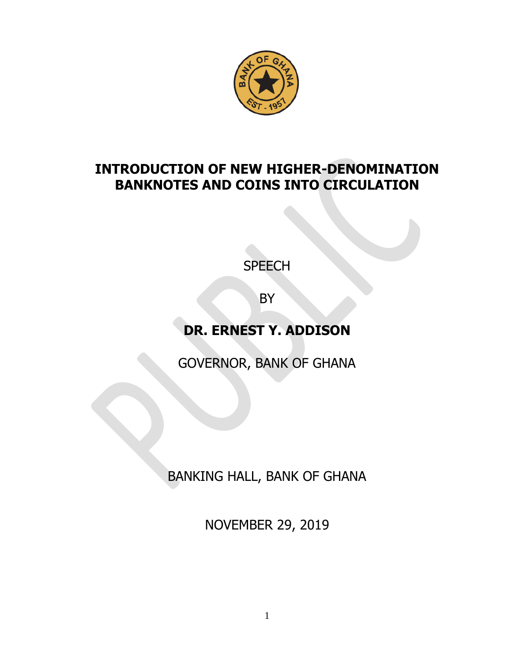

## **INTRODUCTION OF NEW HIGHER-DENOMINATION BANKNOTES AND COINS INTO CIRCULATION**

**SPEECH** 

**BY** 

## **DR. ERNEST Y. ADDISON**

GOVERNOR, BANK OF GHANA

BANKING HALL, BANK OF GHANA

NOVEMBER 29, 2019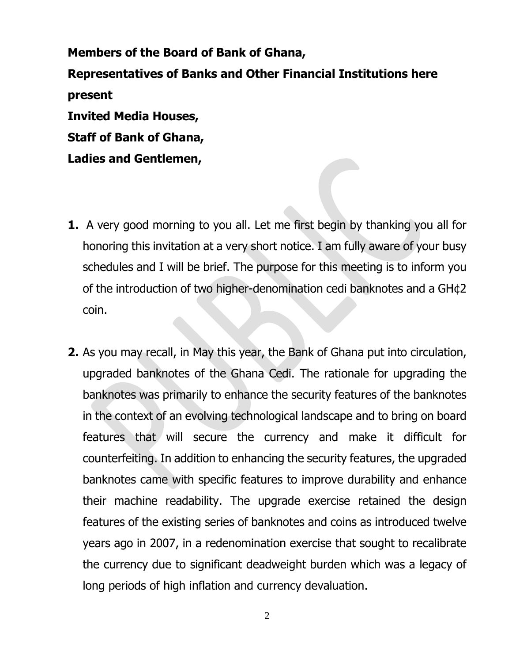**Members of the Board of Bank of Ghana, Representatives of Banks and Other Financial Institutions here present Invited Media Houses, Staff of Bank of Ghana,** 

**Ladies and Gentlemen,**

- **1.** A very good morning to you all. Let me first begin by thanking you all for honoring this invitation at a very short notice. I am fully aware of your busy schedules and I will be brief. The purpose for this meeting is to inform you of the introduction of two higher-denomination cedi banknotes and a GH¢2 coin.
- **2.** As you may recall, in May this year, the Bank of Ghana put into circulation, upgraded banknotes of the Ghana Cedi. The rationale for upgrading the banknotes was primarily to enhance the security features of the banknotes in the context of an evolving technological landscape and to bring on board features that will secure the currency and make it difficult for counterfeiting. In addition to enhancing the security features, the upgraded banknotes came with specific features to improve durability and enhance their machine readability. The upgrade exercise retained the design features of the existing series of banknotes and coins as introduced twelve years ago in 2007, in a redenomination exercise that sought to recalibrate the currency due to significant deadweight burden which was a legacy of long periods of high inflation and currency devaluation.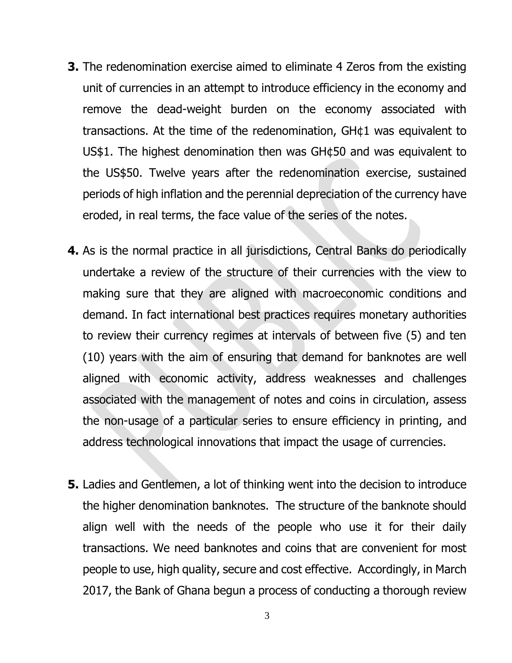- **3.** The redenomination exercise aimed to eliminate 4 Zeros from the existing unit of currencies in an attempt to introduce efficiency in the economy and remove the dead-weight burden on the economy associated with transactions. At the time of the redenomination, GH¢1 was equivalent to US\$1. The highest denomination then was GH¢50 and was equivalent to the US\$50. Twelve years after the redenomination exercise, sustained periods of high inflation and the perennial depreciation of the currency have eroded, in real terms, the face value of the series of the notes.
- **4.** As is the normal practice in all jurisdictions, Central Banks do periodically undertake a review of the structure of their currencies with the view to making sure that they are aligned with macroeconomic conditions and demand. In fact international best practices requires monetary authorities to review their currency regimes at intervals of between five (5) and ten (10) years with the aim of ensuring that demand for banknotes are well aligned with economic activity, address weaknesses and challenges associated with the management of notes and coins in circulation, assess the non-usage of a particular series to ensure efficiency in printing, and address technological innovations that impact the usage of currencies.
- **5.** Ladies and Gentlemen, a lot of thinking went into the decision to introduce the higher denomination banknotes. The structure of the banknote should align well with the needs of the people who use it for their daily transactions. We need banknotes and coins that are convenient for most people to use, high quality, secure and cost effective. Accordingly, in March 2017, the Bank of Ghana begun a process of conducting a thorough review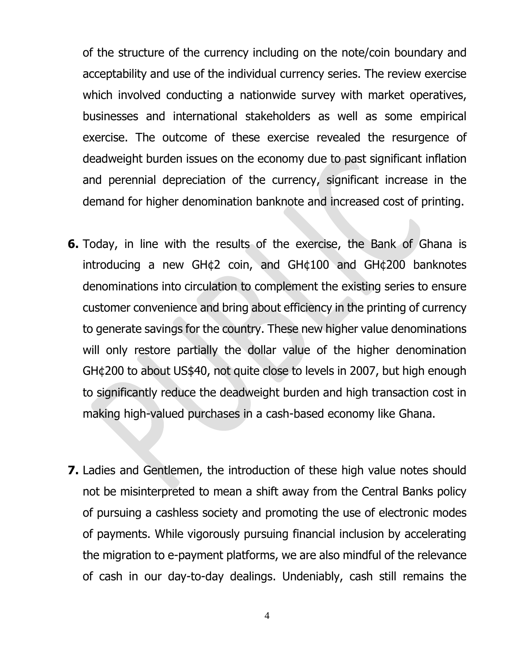of the structure of the currency including on the note/coin boundary and acceptability and use of the individual currency series. The review exercise which involved conducting a nationwide survey with market operatives, businesses and international stakeholders as well as some empirical exercise. The outcome of these exercise revealed the resurgence of deadweight burden issues on the economy due to past significant inflation and perennial depreciation of the currency, significant increase in the demand for higher denomination banknote and increased cost of printing.

- **6.** Today, in line with the results of the exercise, the Bank of Ghana is introducing a new GH¢2 coin, and GH¢100 and GH¢200 banknotes denominations into circulation to complement the existing series to ensure customer convenience and bring about efficiency in the printing of currency to generate savings for the country. These new higher value denominations will only restore partially the dollar value of the higher denomination GH¢200 to about US\$40, not quite close to levels in 2007, but high enough to significantly reduce the deadweight burden and high transaction cost in making high-valued purchases in a cash-based economy like Ghana.
- **7.** Ladies and Gentlemen, the introduction of these high value notes should not be misinterpreted to mean a shift away from the Central Banks policy of pursuing a cashless society and promoting the use of electronic modes of payments. While vigorously pursuing financial inclusion by accelerating the migration to e-payment platforms, we are also mindful of the relevance of cash in our day-to-day dealings. Undeniably, cash still remains the